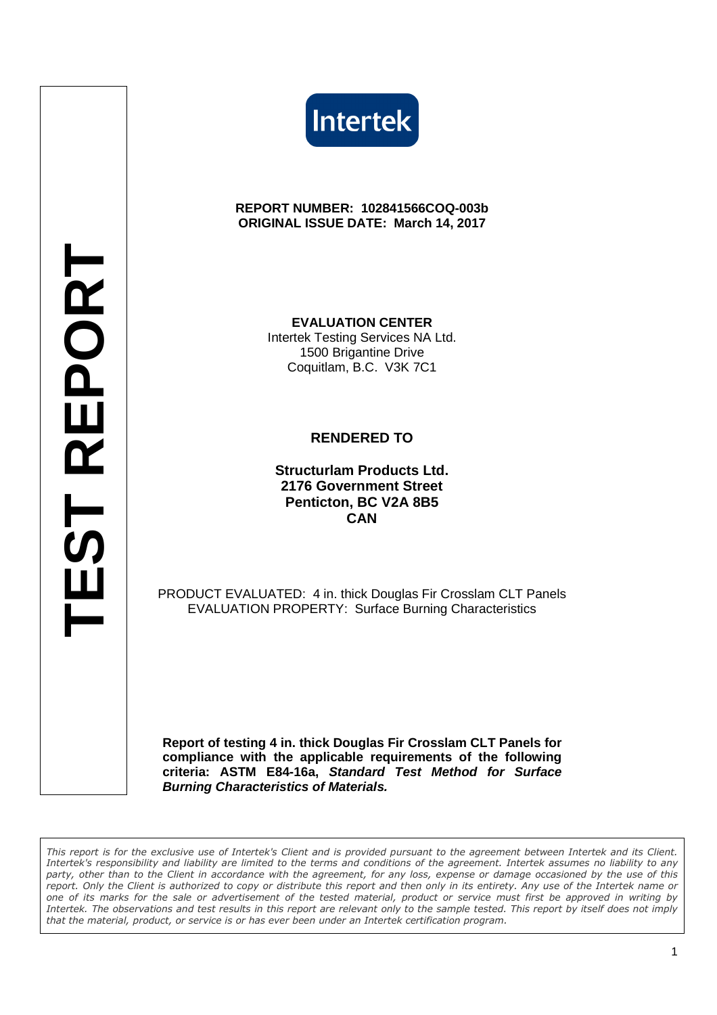



#### **REPORT NUMBER: 102841566COQ-003b ORIGINAL ISSUE DATE: March 14, 2017**

**EVALUATION CENTER** Intertek Testing Services NA Ltd. 1500 Brigantine Drive Coquitlam, B.C. V3K 7C1

### **RENDERED TO**

**Structurlam Products Ltd. 2176 Government Street Penticton, BC V2A 8B5 CAN**

PRODUCT EVALUATED: 4 in. thick Douglas Fir Crosslam CLT Panels EVALUATION PROPERTY: Surface Burning Characteristics

**Report of testing 4 in. thick Douglas Fir Crosslam CLT Panels for compliance with the applicable requirements of the following criteria: ASTM E84-16a, Standard Test Method for Surface Burning Characteristics of Materials.**

*This report is for the exclusive use of Intertek's Client and is provided pursuant to the agreement between Intertek and its Client. Intertek's responsibility and liability are limited to the terms and conditions of the agreement. Intertek assumes no liability to any party, other than to the Client in accordance with the agreement, for any loss, expense or damage occasioned by the use of this report. Only the Client is authorized to copy or distribute this report and then only in its entirety. Any use of the Intertek name or one of its marks for the sale or advertisement of the tested material, product or service must first be approved in writing by Intertek. The observations and test results in this report are relevant only to the sample tested. This report by itself does not imply that the material, product, or service is or has ever been under an Intertek certification program.*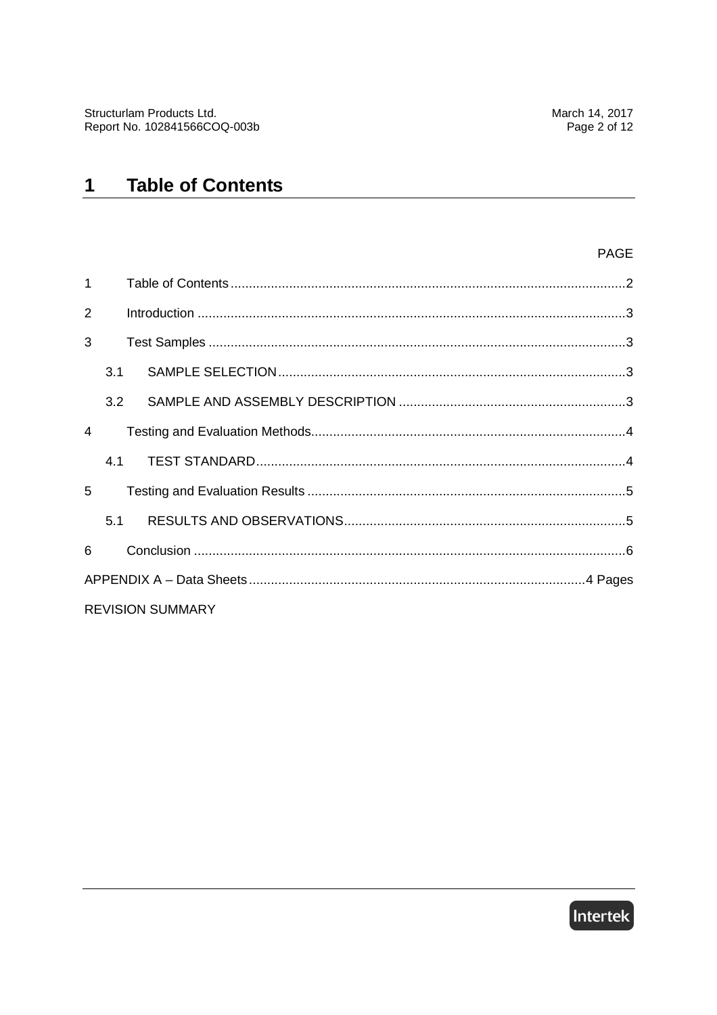#### **Table of Contents**  $\mathbf 1$

#### PAGE

| $\mathbf{1}$   |     |                         |  |
|----------------|-----|-------------------------|--|
| $\overline{2}$ |     |                         |  |
| 3              |     |                         |  |
|                | 3.1 |                         |  |
|                | 3.2 |                         |  |
| $\overline{4}$ |     |                         |  |
|                | 4.1 |                         |  |
| 5              |     |                         |  |
|                | 5.1 |                         |  |
| 6              |     |                         |  |
|                |     |                         |  |
|                |     | <b>REVISION SUMMARY</b> |  |

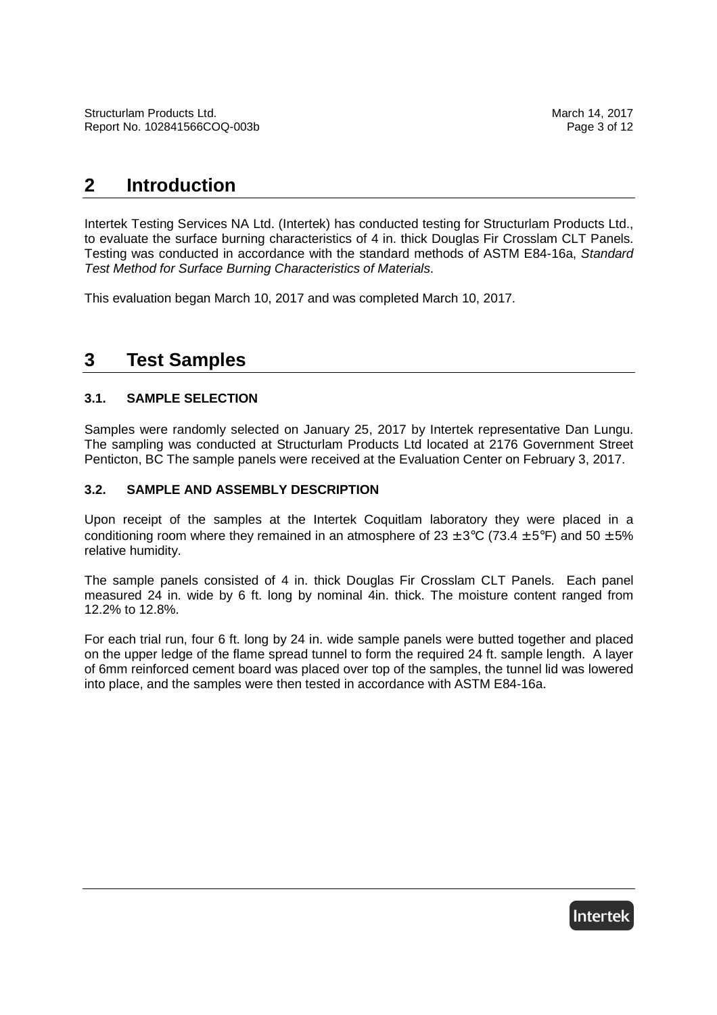# **2 Introduction**

Intertek Testing Services NA Ltd. (Intertek) has conducted testing for Structurlam Products Ltd., to evaluate the surface burning characteristics of 4 in. thick Douglas Fir Crosslam CLT Panels. Testing was conducted in accordance with the standard methods of ASTM E84-16a, Standard Test Method for Surface Burning Characteristics of Materials.

This evaluation began March 10, 2017 and was completed March 10, 2017.

# **3 Test Samples**

#### **3.1. SAMPLE SELECTION**

Samples were randomly selected on January 25, 2017 by Intertek representative Dan Lungu. The sampling was conducted at Structurlam Products Ltd located at 2176 Government Street Penticton, BC The sample panels were received at the Evaluation Center on February 3, 2017.

#### **3.2. SAMPLE AND ASSEMBLY DESCRIPTION**

Upon receipt of the samples at the Intertek Coquitlam laboratory they were placed in a conditioning room where they remained in an atmosphere of  $23 \pm 3$ °C (73.4  $\pm 5$ °F) and 50  $\pm 5$ % relative humidity.

The sample panels consisted of 4 in. thick Douglas Fir Crosslam CLT Panels. Each panel measured 24 in. wide by 6 ft. long by nominal 4in. thick. The moisture content ranged from 12.2% to 12.8%.

For each trial run, four 6 ft. long by 24 in. wide sample panels were butted together and placed on the upper ledge of the flame spread tunnel to form the required 24 ft. sample length. A layer of 6mm reinforced cement board was placed over top of the samples, the tunnel lid was lowered into place, and the samples were then tested in accordance with ASTM E84-16a.

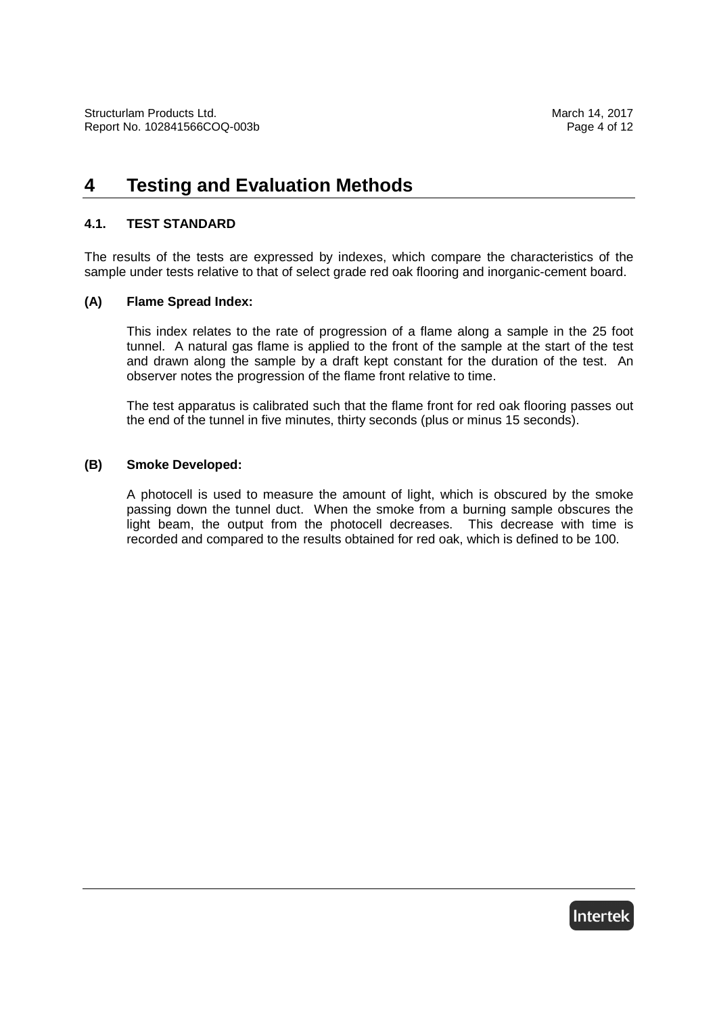# **4 Testing and Evaluation Methods**

#### **4.1. TEST STANDARD**

The results of the tests are expressed by indexes, which compare the characteristics of the sample under tests relative to that of select grade red oak flooring and inorganic-cement board.

#### **(A) Flame Spread Index:**

This index relates to the rate of progression of a flame along a sample in the 25 foot tunnel. A natural gas flame is applied to the front of the sample at the start of the test and drawn along the sample by a draft kept constant for the duration of the test. An observer notes the progression of the flame front relative to time.

The test apparatus is calibrated such that the flame front for red oak flooring passes out the end of the tunnel in five minutes, thirty seconds (plus or minus 15 seconds).

#### **(B) Smoke Developed:**

A photocell is used to measure the amount of light, which is obscured by the smoke passing down the tunnel duct. When the smoke from a burning sample obscures the light beam, the output from the photocell decreases. This decrease with time is recorded and compared to the results obtained for red oak, which is defined to be 100.

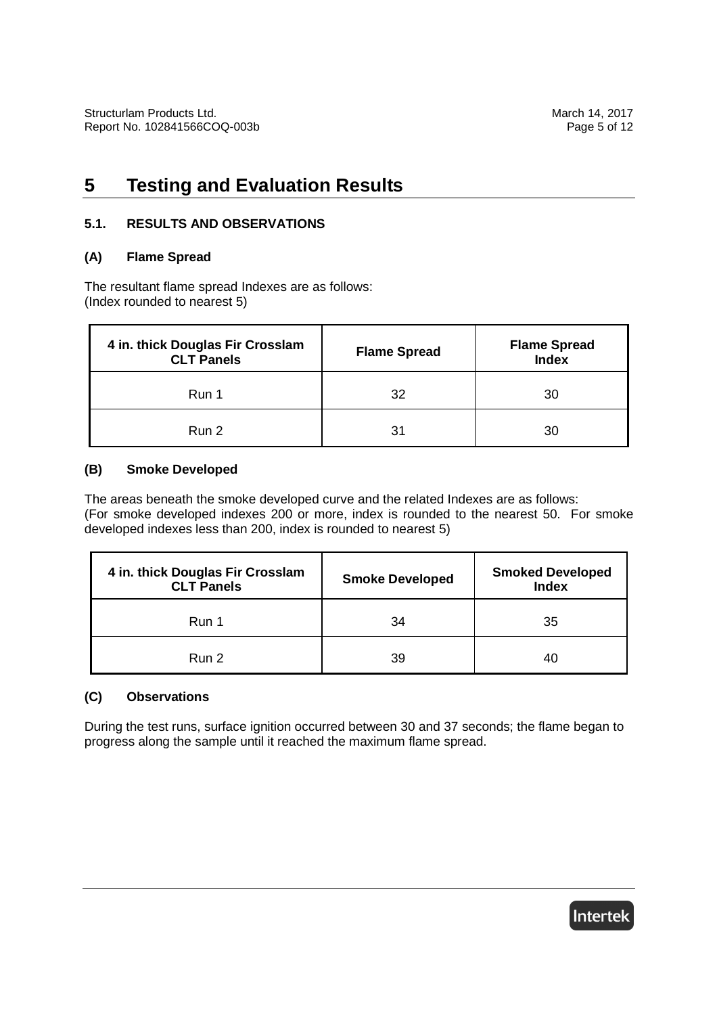# **5 Testing and Evaluation Results**

#### **5.1. RESULTS AND OBSERVATIONS**

#### **(A) Flame Spread**

The resultant flame spread Indexes are as follows: (Index rounded to nearest 5)

| 4 in. thick Douglas Fir Crosslam<br><b>CLT Panels</b> | <b>Flame Spread</b> | <b>Flame Spread</b><br><b>Index</b> |
|-------------------------------------------------------|---------------------|-------------------------------------|
| Run 1                                                 | 32                  | 30                                  |
| Run 2                                                 | 31                  | 30                                  |

#### **(B) Smoke Developed**

The areas beneath the smoke developed curve and the related Indexes are as follows: (For smoke developed indexes 200 or more, index is rounded to the nearest 50. For smoke developed indexes less than 200, index is rounded to nearest 5)

| 4 in. thick Douglas Fir Crosslam<br><b>CLT Panels</b> | <b>Smoke Developed</b> | <b>Smoked Developed</b><br><b>Index</b> |
|-------------------------------------------------------|------------------------|-----------------------------------------|
| Run 1                                                 | 34                     | 35                                      |
| Run 2                                                 | 39                     | 40                                      |

### **(C) Observations**

During the test runs, surface ignition occurred between 30 and 37 seconds; the flame began to progress along the sample until it reached the maximum flame spread.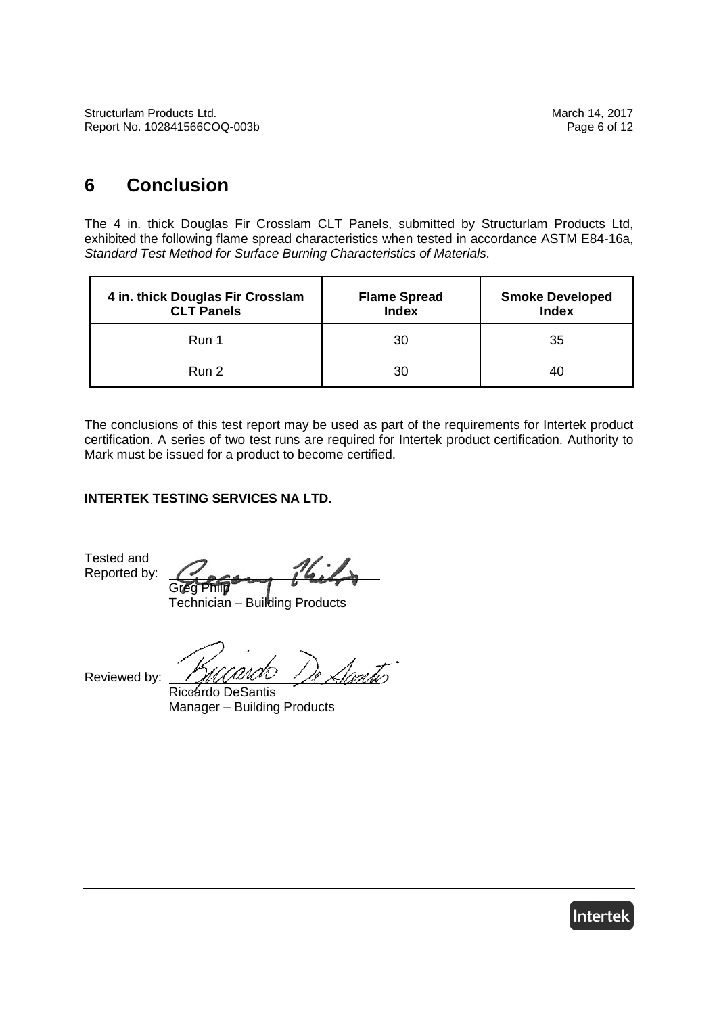# **6 Conclusion**

The 4 in. thick Douglas Fir Crosslam CLT Panels, submitted by Structurlam Products Ltd, exhibited the following flame spread characteristics when tested in accordance ASTM E84-16a, Standard Test Method for Surface Burning Characteristics of Materials.

| 4 in. thick Douglas Fir Crosslam<br><b>CLT Panels</b> | <b>Flame Spread</b><br><b>Index</b> | <b>Smoke Developed</b><br><b>Index</b> |
|-------------------------------------------------------|-------------------------------------|----------------------------------------|
| Run 1                                                 | 30                                  | 35                                     |
| Run 2                                                 | 30                                  | 40                                     |

The conclusions of this test report may be used as part of the requirements for Intertek product certification. A series of two test runs are required for Intertek product certification. Authority to Mark must be issued for a product to become certified.

### **INTERTEK TESTING SERVICES NA LTD.**

Tested and Reported by:

Greg Philp

Technician – Building Products

Reviewed by:

Santis

Riccardo DeSantis Manager – Building Products

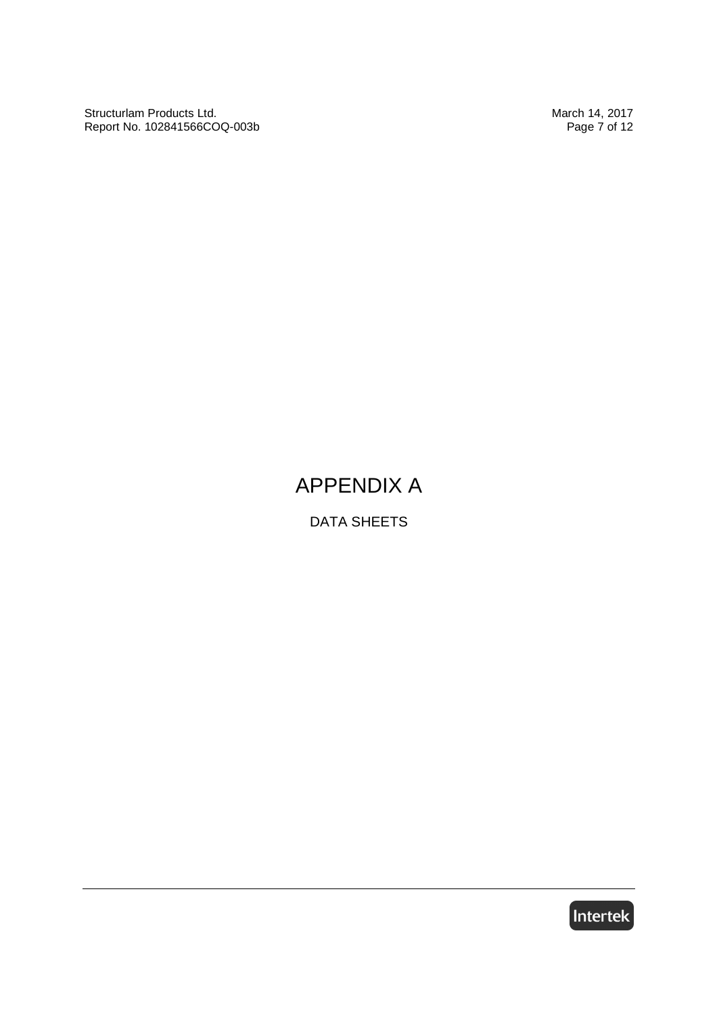Structurlam Products Ltd.<br>
Report No. 102841566COQ-003b **March 14, 2017** March 14, 2017 Report No. 102841566COQ-003b

# APPENDIX A

DATA SHEETS

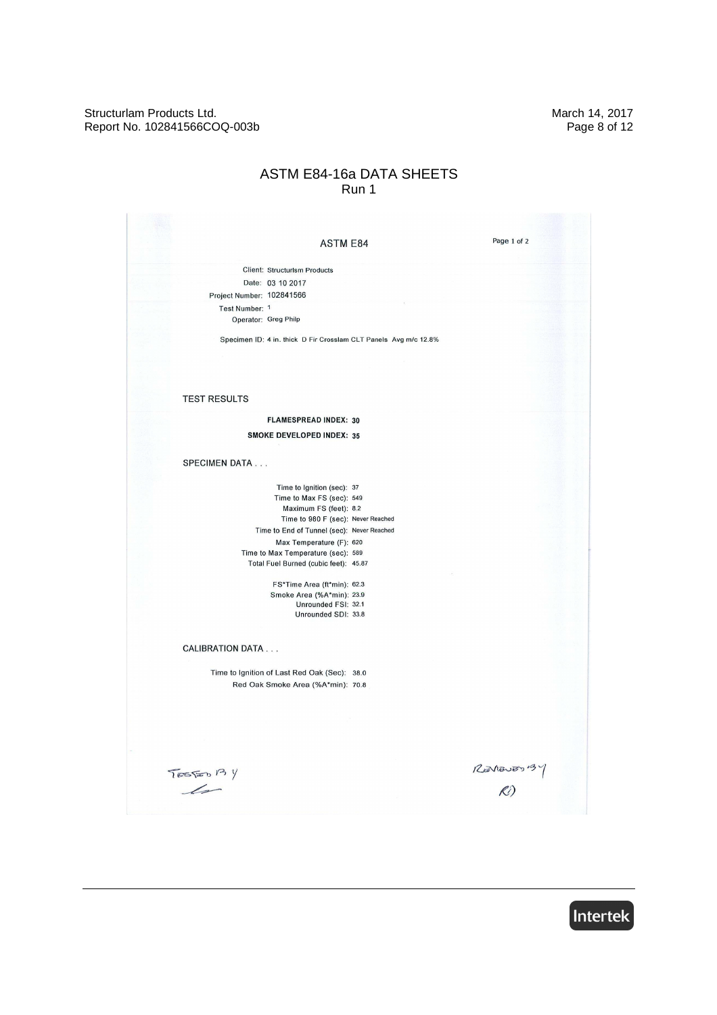Structurlam Products Ltd.<br>
Report No. 102841566COQ-003b<br>
Page 8 of 12 Report No. 102841566COQ-003b

#### ASTM E84-16a DATA SHEETS Run 1

| <b>ASTM E84</b>                                                  | Page 1 of 2      |
|------------------------------------------------------------------|------------------|
| <b>Client: Structurlsm Products</b>                              |                  |
| Date: 03 10 2017                                                 |                  |
| Project Number: 102841566                                        |                  |
| Test Number: 1                                                   |                  |
| Operator: Greg Philp                                             |                  |
| Specimen ID: 4 in. thick D Fir Crosslam CLT Panels Avg m/c 12.8% |                  |
|                                                                  |                  |
| <b>TEST RESULTS</b>                                              |                  |
| <b>FLAMESPREAD INDEX: 30</b>                                     |                  |
| <b>SMOKE DEVELOPED INDEX: 35</b>                                 |                  |
| <b>SPECIMEN DATA</b>                                             |                  |
| Time to Ignition (sec): 37                                       |                  |
| Time to Max FS (sec): 549                                        |                  |
| Maximum FS (feet): 8.2                                           |                  |
| Time to 980 F (sec): Never Reached                               |                  |
| Time to End of Tunnel (sec): Never Reached                       |                  |
| Max Temperature (F): 620                                         |                  |
| Time to Max Temperature (sec): 589                               |                  |
| Total Fuel Burned (cubic feet): 45.87                            |                  |
| FS*Time Area (ft*min): 62.3                                      |                  |
| Smoke Area (%A*min): 23.9                                        |                  |
| Unrounded FSI: 32.1                                              |                  |
| Unrounded SDI: 33.8                                              |                  |
|                                                                  |                  |
| <b>CALIBRATION DATA</b>                                          |                  |
| Time to Ignition of Last Red Oak (Sec): 38.0                     |                  |
| Red Oak Smoke Area (%A*min): 70.8                                |                  |
|                                                                  |                  |
|                                                                  |                  |
|                                                                  |                  |
|                                                                  |                  |
|                                                                  |                  |
| TESTED P3 Y                                                      | $R$ <i>a</i> $R$ |
|                                                                  |                  |

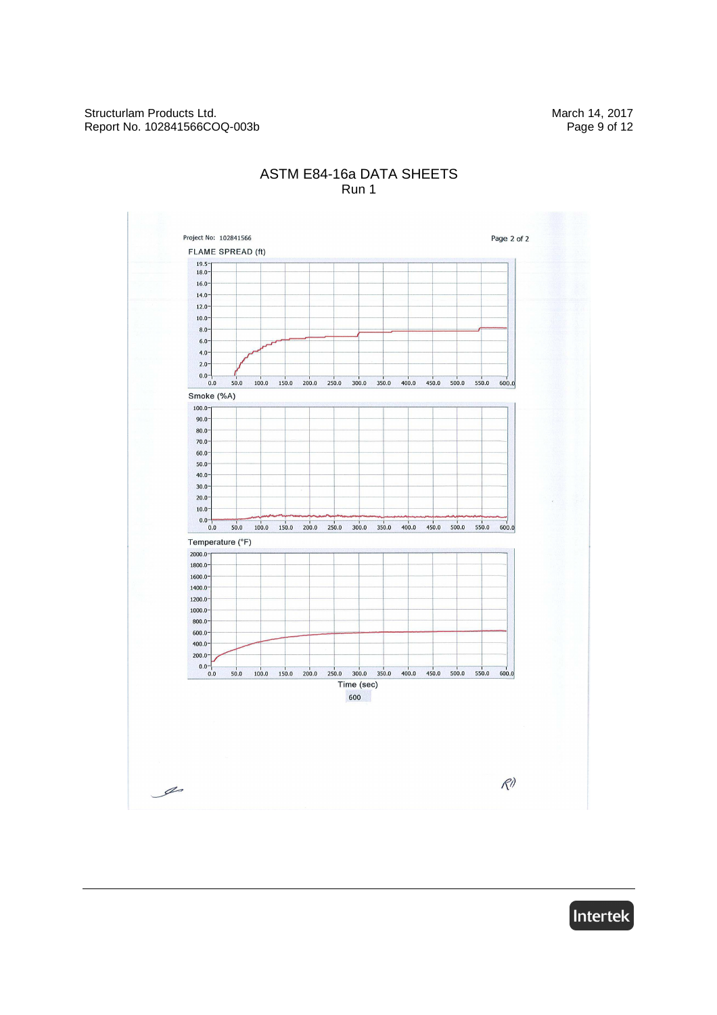

### ASTM E84-16a DATA SHEETS Run 1

Intertek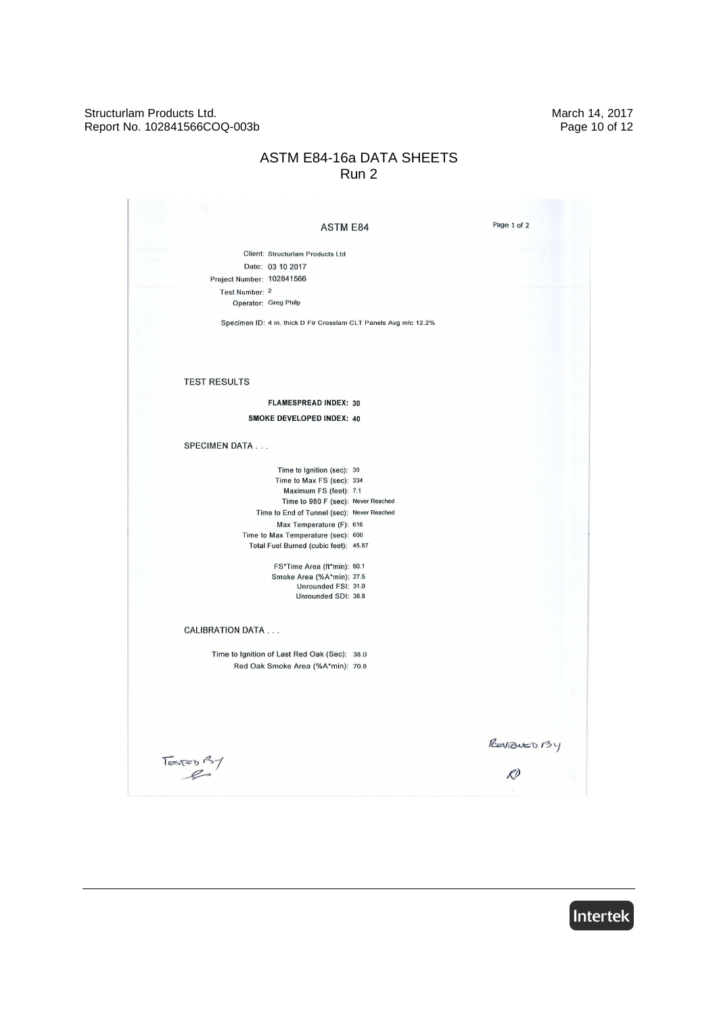#### Structurlam Products Ltd.<br>
Report No. 102841566COQ-003b<br>
Page 10 of 12 Report No. 102841566COQ-003b

### ASTM E84-16a DATA SHEETS Run 2

| <b>ASTM E84</b>                                                  | Page 1 of 2  |  |
|------------------------------------------------------------------|--------------|--|
|                                                                  |              |  |
| Client: Structurlam Products Ltd                                 |              |  |
| Date: 03 10 2017                                                 |              |  |
| Project Number: 102841566                                        |              |  |
| Test Number: 2                                                   |              |  |
| Operator: Greg Philp                                             |              |  |
|                                                                  |              |  |
| Specimen ID: 4 in. thick D Fir Crosslam CLT Panels Avg m/c 12.2% |              |  |
|                                                                  |              |  |
|                                                                  |              |  |
|                                                                  |              |  |
|                                                                  |              |  |
| <b>TEST RESULTS</b>                                              |              |  |
|                                                                  |              |  |
| <b>FLAMESPREAD INDEX: 30</b>                                     |              |  |
| <b>SMOKE DEVELOPED INDEX: 40</b>                                 |              |  |
|                                                                  |              |  |
| <b>SPECIMEN DATA</b>                                             |              |  |
|                                                                  |              |  |
| Time to Ignition (sec): 30                                       |              |  |
| Time to Max FS (sec): 334                                        |              |  |
| Maximum FS (feet): 7.1                                           |              |  |
| Time to 980 F (sec): Never Reached                               |              |  |
| Time to End of Tunnel (sec): Never Reached                       |              |  |
| Max Temperature (F): 616                                         |              |  |
| Time to Max Temperature (sec): 600                               |              |  |
| Total Fuel Burned (cubic feet): 45.87                            |              |  |
| FS*Time Area (ft*min): 60.1                                      |              |  |
| Smoke Area (%A*min): 27.5                                        |              |  |
| Unrounded FSI: 31.0                                              |              |  |
| Unrounded SDI: 38.8                                              |              |  |
|                                                                  |              |  |
|                                                                  |              |  |
| <b>CALIBRATION DATA</b>                                          |              |  |
|                                                                  |              |  |
| Time to Ignition of Last Red Oak (Sec): 38.0                     |              |  |
| Red Oak Smoke Area (%A*min): 70.8                                |              |  |
|                                                                  |              |  |
|                                                                  |              |  |
|                                                                  |              |  |
|                                                                  |              |  |
|                                                                  |              |  |
|                                                                  |              |  |
|                                                                  | REVIEWED 134 |  |
| $T = 57$                                                         |              |  |
|                                                                  |              |  |
|                                                                  |              |  |

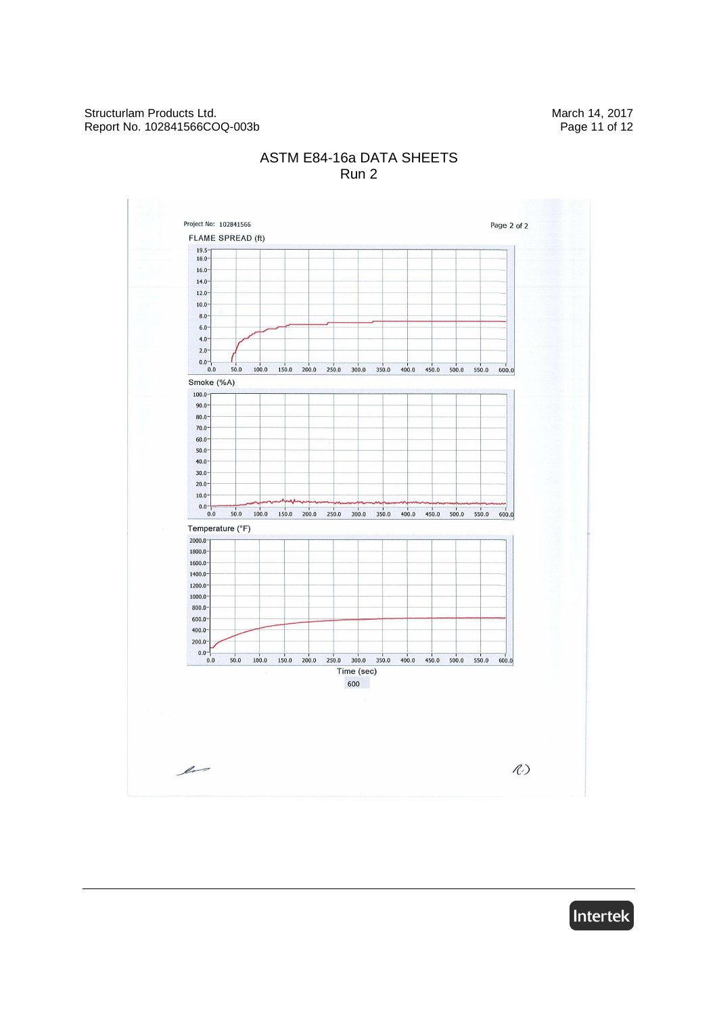

### ASTM E84-16a DATA SHEETS Run 2

Intertek